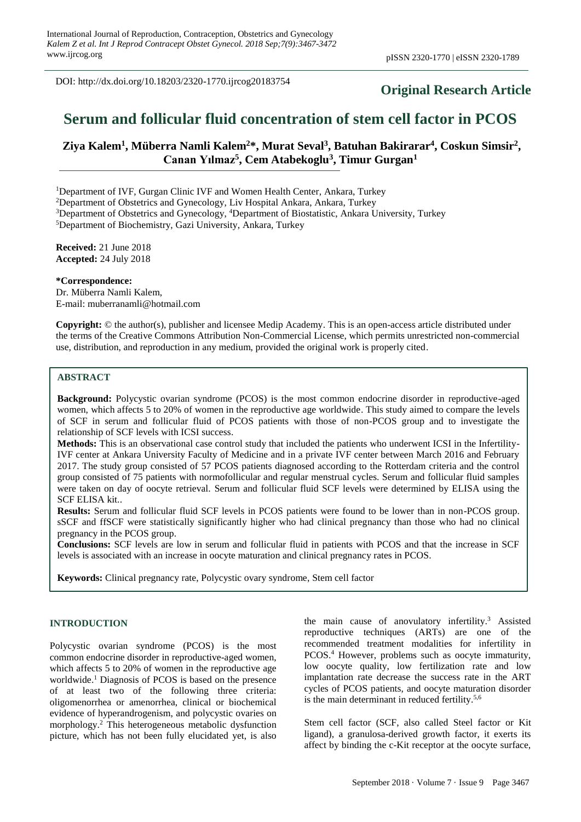DOI: http://dx.doi.org/10.18203/2320-1770.ijrcog20183754

## **Original Research Article**

# **Serum and follicular fluid concentration of stem cell factor in PCOS**

**Ziya Kalem<sup>1</sup> , Müberra Namli Kalem<sup>2</sup>\*, Murat Seval<sup>3</sup> , Batuhan Bakirarar<sup>4</sup> , Coskun Simsir<sup>2</sup> , Canan Yılmaz<sup>5</sup> , Cem Atabekoglu<sup>3</sup> , Timur Gurgan<sup>1</sup>**

<sup>1</sup>Department of IVF, Gurgan Clinic IVF and Women Health Center, Ankara, Turkey

<sup>2</sup>Department of Obstetrics and Gynecology, Liv Hospital Ankara, Ankara, Turkey

<sup>3</sup>Department of Obstetrics and Gynecology, <sup>4</sup>Department of Biostatistic, Ankara University, Turkey

<sup>5</sup>Department of Biochemistry, Gazi University, Ankara, Turkey

**Received:** 21 June 2018 **Accepted:** 24 July 2018

**\*Correspondence:** Dr. Müberra Namli Kalem, E-mail: muberranamli@hotmail.com

**Copyright:** © the author(s), publisher and licensee Medip Academy. This is an open-access article distributed under the terms of the Creative Commons Attribution Non-Commercial License, which permits unrestricted non-commercial use, distribution, and reproduction in any medium, provided the original work is properly cited.

## **ABSTRACT**

**Background:** Polycystic ovarian syndrome (PCOS) is the most common endocrine disorder in reproductive-aged women, which affects 5 to 20% of women in the reproductive age worldwide. This study aimed to compare the levels of SCF in serum and follicular fluid of PCOS patients with those of non-PCOS group and to investigate the relationship of SCF levels with ICSI success.

**Methods:** This is an observational case control study that included the patients who underwent ICSI in the Infertility-IVF center at Ankara University Faculty of Medicine and in a private IVF center between March 2016 and February 2017. The study group consisted of 57 PCOS patients diagnosed according to the Rotterdam criteria and the control group consisted of 75 patients with normofollicular and regular menstrual cycles. Serum and follicular fluid samples were taken on day of oocyte retrieval. Serum and follicular fluid SCF levels were determined by ELISA using the SCF ELISA kit..

**Results:** Serum and follicular fluid SCF levels in PCOS patients were found to be lower than in non-PCOS group. sSCF and ffSCF were statistically significantly higher who had clinical pregnancy than those who had no clinical pregnancy in the PCOS group.

**Conclusions:** SCF levels are low in serum and follicular fluid in patients with PCOS and that the increase in SCF levels is associated with an increase in oocyte maturation and clinical pregnancy rates in PCOS.

**Keywords:** Clinical pregnancy rate, Polycystic ovary syndrome, Stem cell factor

#### **INTRODUCTION**

Polycystic ovarian syndrome (PCOS) is the most common endocrine disorder in reproductive-aged women, which affects 5 to 20% of women in the reproductive age worldwide. <sup>1</sup> Diagnosis of PCOS is based on the presence of at least two of the following three criteria: oligomenorrhea or amenorrhea, clinical or biochemical evidence of hyperandrogenism, and polycystic ovaries on morphology. <sup>2</sup> This heterogeneous metabolic dysfunction picture, which has not been fully elucidated yet, is also

the main cause of anovulatory infertility. <sup>3</sup> Assisted reproductive techniques (ARTs) are one of the recommended treatment modalities for infertility in PCOS. <sup>4</sup> However, problems such as oocyte immaturity, low oocyte quality, low fertilization rate and low implantation rate decrease the success rate in the ART cycles of PCOS patients, and oocyte maturation disorder is the main determinant in reduced fertility.<sup>5,6</sup>

Stem cell factor (SCF, also called Steel factor or Kit ligand), a granulosa-derived growth factor, it exerts its affect by binding the c-Kit receptor at the oocyte surface,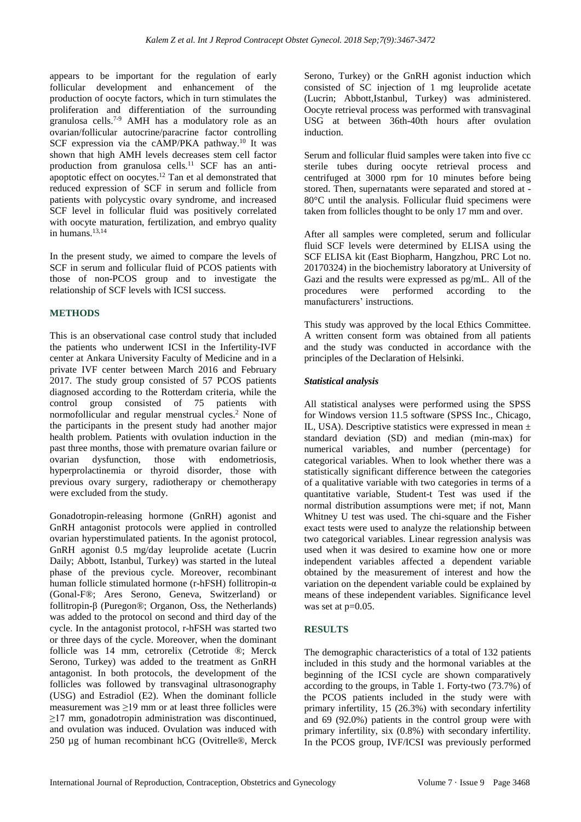appears to be important for the regulation of early follicular development and enhancement of the production of oocyte factors, which in turn stimulates the proliferation and differentiation of the surrounding granulosa cells. 7-9 AMH has a modulatory role as an ovarian/follicular autocrine/paracrine factor controlling SCF expression via the cAMP/PKA pathway. <sup>10</sup> It was shown that high AMH levels decreases stem cell factor production from granulosa cells. <sup>11</sup> SCF has an antiapoptotic effect on oocytes. <sup>12</sup> Tan et al demonstrated that reduced expression of SCF in serum and follicle from patients with polycystic ovary syndrome, and increased SCF level in follicular fluid was positively correlated with oocyte maturation, fertilization, and embryo quality in humans. 13,14

In the present study, we aimed to compare the levels of SCF in serum and follicular fluid of PCOS patients with those of non-PCOS group and to investigate the relationship of SCF levels with ICSI success.

### **METHODS**

This is an observational case control study that included the patients who underwent ICSI in the Infertility-IVF center at Ankara University Faculty of Medicine and in a private IVF center between March 2016 and February 2017. The study group consisted of 57 PCOS patients diagnosed according to the Rotterdam criteria, while the control group consisted of 75 patients with normofollicular and regular menstrual cycles.<sup>2</sup> None of the participants in the present study had another major health problem. Patients with ovulation induction in the past three months, those with premature ovarian failure or ovarian dysfunction, those with endometriosis, hyperprolactinemia or thyroid disorder, those with previous ovary surgery, radiotherapy or chemotherapy were excluded from the study.

Gonadotropin-releasing hormone (GnRH) agonist and GnRH antagonist protocols were applied in controlled ovarian hyperstimulated patients. In the agonist protocol, GnRH agonist 0.5 mg/day leuprolide acetate (Lucrin Daily; Abbott, Istanbul, Turkey) was started in the luteal phase of the previous cycle. Moreover, recombinant human follicle stimulated hormone (r-hFSH) follitropin-α (Gonal-F®; Ares Serono, Geneva, Switzerland) or follitropin-β (Puregon®; Organon, Oss, the Netherlands) was added to the protocol on second and third day of the cycle. In the antagonist protocol, r-hFSH was started two or three days of the cycle. Moreover, when the dominant follicle was 14 mm, cetrorelix (Cetrotide ®; Merck Serono, Turkey) was added to the treatment as GnRH antagonist. In both protocols, the development of the follicles was followed by transvaginal ultrasonography (USG) and Estradiol (E2). When the dominant follicle measurement was ≥19 mm or at least three follicles were ≥17 mm, gonadotropin administration was discontinued, and ovulation was induced. Ovulation was induced with 250 µg of human recombinant hCG (Ovitrelle®, Merck Serono, Turkey) or the GnRH agonist induction which consisted of SC injection of 1 mg leuprolide acetate (Lucrin; Abbott,Istanbul, Turkey) was administered. Oocyte retrieval process was performed with transvaginal USG at between 36th-40th hours after ovulation induction.

Serum and follicular fluid samples were taken into five cc sterile tubes during oocyte retrieval process and centrifuged at 3000 rpm for 10 minutes before being stored. Then, supernatants were separated and stored at - 80°C until the analysis. Follicular fluid specimens were taken from follicles thought to be only 17 mm and over.

After all samples were completed, serum and follicular fluid SCF levels were determined by ELISA using the SCF ELISA kit (East Biopharm, Hangzhou, PRC Lot no. 20170324) in the biochemistry laboratory at University of Gazi and the results were expressed as pg/mL. All of the procedures were performed according to the manufacturers' instructions.

This study was approved by the local Ethics Committee. A written consent form was obtained from all patients and the study was conducted in accordance with the principles of the Declaration of Helsinki.

#### *Statistical analysis*

All statistical analyses were performed using the SPSS for Windows version 11.5 software (SPSS Inc., Chicago, IL, USA). Descriptive statistics were expressed in mean ± standard deviation (SD) and median (min-max) for numerical variables, and number (percentage) for categorical variables. When to look whether there was a statistically significant difference between the categories of a qualitative variable with two categories in terms of a quantitative variable, Student-t Test was used if the normal distribution assumptions were met; if not, Mann Whitney U test was used. The chi-square and the Fisher exact tests were used to analyze the relationship between two categorical variables. Linear regression analysis was used when it was desired to examine how one or more independent variables affected a dependent variable obtained by the measurement of interest and how the variation on the dependent variable could be explained by means of these independent variables. Significance level was set at  $p=0.05$ .

### **RESULTS**

The demographic characteristics of a total of 132 patients included in this study and the hormonal variables at the beginning of the ICSI cycle are shown comparatively according to the groups, in Table 1. Forty-two (73.7%) of the PCOS patients included in the study were with primary infertility, 15 (26.3%) with secondary infertility and 69 (92.0%) patients in the control group were with primary infertility, six (0.8%) with secondary infertility. In the PCOS group, IVF/ICSI was previously performed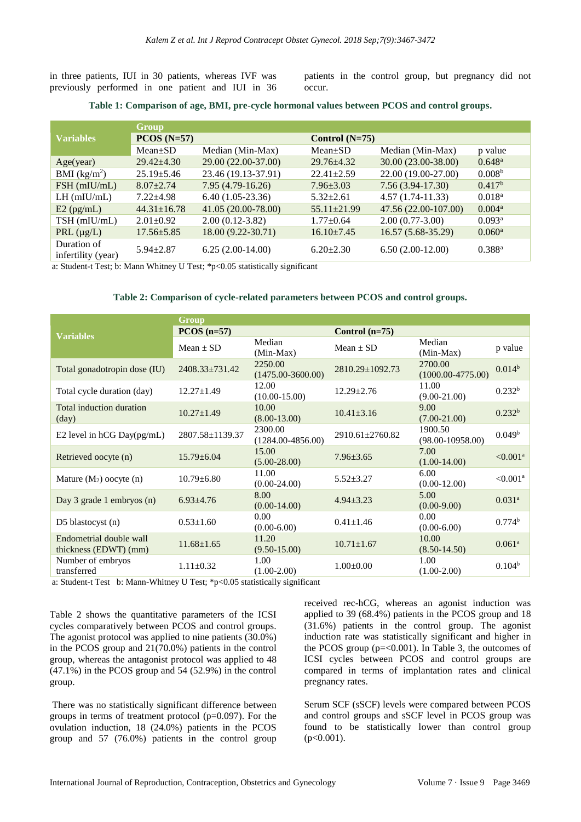in three patients, IUI in 30 patients, whereas IVF was previously performed in one patient and IUI in 36 patients in the control group, but pregnancy did not occur.

|  |  |  |  | Table 1: Comparison of age, BMI, pre-cycle hormonal values between PCOS and control groups. |  |  |  |  |  |  |
|--|--|--|--|---------------------------------------------------------------------------------------------|--|--|--|--|--|--|
|--|--|--|--|---------------------------------------------------------------------------------------------|--|--|--|--|--|--|

|                                   | <b>Group</b>      |                     |                   |                      |                      |  |
|-----------------------------------|-------------------|---------------------|-------------------|----------------------|----------------------|--|
| <b>Variables</b>                  | $PCOS(N=57)$      |                     | Control $(N=75)$  |                      |                      |  |
|                                   | $Mean \pm SD$     | Median (Min-Max)    | $Mean \pm SD$     | Median (Min-Max)     | p value              |  |
| Age(year)                         | $29.42 \pm 4.30$  | 29.00 (22.00-37.00) | $29.76 \pm 4.32$  | 30.00 (23.00-38.00)  | $0.648^{\rm a}$      |  |
| BMI $(kg/m2)$                     | $25.19 \pm 5.46$  | 23.46 (19.13-37.91) | $22.41 \pm 2.59$  | 22.00 (19.00-27.00)  | 0.008 <sup>b</sup>   |  |
| FSH (mIU/mL)                      | $8.07 \pm 2.74$   | $7.95(4.79-16.26)$  | $7.96 \pm 3.03$   | $7.56(3.94-17.30)$   | 0.417 <sup>b</sup>   |  |
| $LH$ (mIU/mL)                     | $7.22 \pm 4.98$   | $6.40(1.05-23.36)$  | $5.32 \pm 2.61$   | $4.57(1.74-11.33)$   | 0.018 <sup>a</sup>   |  |
| $E2$ (pg/mL)                      | $44.31 \pm 16.78$ | 41.05 (20.00-78.00) | $55.11 \pm 21.99$ | 47.56 (22.00-107.00) | 0.004 <sup>a</sup>   |  |
| $TSH$ (mIU/mL)                    | $2.01 \pm 0.92$   | $2.00(0.12-3.82)$   | $1.77 \pm 0.64$   | $2.00(0.77-3.00)$    | $0.093$ <sup>a</sup> |  |
| PRL $(\mu g/L)$                   | $17.56 \pm 5.85$  | 18.00 (9.22-30.71)  | $16.10\pm7.45$    | $16.57(5.68-35.29)$  | $0.060$ <sup>a</sup> |  |
| Duration of<br>infertility (year) | $5.94 \pm 2.87$   | $6.25(2.00-14.00)$  | $6.20 \pm 2.30$   | $6.50(2.00-12.00)$   | $0.388^{a}$          |  |

a: Student-t Test; b: Mann Whitney U Test; \*p<0.05 statistically significant

#### **Table 2: Comparison of cycle-related parameters between PCOS and control groups.**

|                                                  | Group            |                                  |                  |                                 |                      |  |
|--------------------------------------------------|------------------|----------------------------------|------------------|---------------------------------|----------------------|--|
| <b>Variables</b>                                 | $PCOS$ (n=57)    |                                  | Control $(n=75)$ |                                 |                      |  |
|                                                  | $Mean + SD$      | Median<br>(Min-Max)              | $Mean + SD$      | Median<br>(Min-Max)             | p value              |  |
| Total gonadotropin dose (IU)                     | 2408.33+731.42   | 2250.00<br>$(1475.00 - 3600.00)$ | 2810.29±1092.73  | 2700.00<br>$(1000.00-4775.00)$  | 0.014 <sup>b</sup>   |  |
| Total cycle duration (day)                       | $12.27 \pm 1.49$ | 12.00<br>$(10.00 - 15.00)$       | $12.29 + 2.76$   | 11.00<br>$(9.00 - 21.00)$       | $0.232^{b}$          |  |
| Total induction duration<br>$\text{(day)}$       | $10.27 \pm 1.49$ | 10.00<br>$(8.00-13.00)$          | $10.41 \pm 3.16$ | 9.00<br>$(7.00 - 21.00)$        | 0.232 <sup>b</sup>   |  |
| E2 level in $hCG$ Day( $pg/mL$ )                 | 2807.58±1139.37  | 2300.00<br>$(1284.00 - 4856.00)$ | 2910.61±2760.82  | 1900.50<br>$(98.00 - 10958.00)$ | 0.049 <sup>b</sup>   |  |
| Retrieved oocyte (n)                             | $15.79 \pm 6.04$ | 15.00<br>$(5.00-28.00)$          | $7.96 \pm 3.65$  | 7.00<br>$(1.00-14.00)$          | $\leq 0.001^{\rm a}$ |  |
| Mature $(M_2)$ oocyte $(n)$                      | $10.79 \pm 6.80$ | 11.00<br>$(0.00-24.00)$          | $5.52 \pm 3.27$  | 6.00<br>$(0.00-12.00)$          | $< 0.001^{\text{a}}$ |  |
| Day 3 grade 1 embryos (n)                        | $6.93{\pm}4.76$  | 8.00<br>$(0.00-14.00)$           | $4.94 + 3.23$    | 5.00<br>$(0.00-9.00)$           | $0.031$ <sup>a</sup> |  |
| D5 blastocyst (n)                                | $0.53 \pm 1.60$  | 0.00<br>$(0.00-6.00)$            | $0.41 \pm 1.46$  | 0.00<br>$(0.00-6.00)$           | 0.774 <sup>b</sup>   |  |
| Endometrial double wall<br>thickness (EDWT) (mm) | $11.68 \pm 1.65$ | 11.20<br>$(9.50 - 15.00)$        | $10.71 \pm 1.67$ | 10.00<br>$(8.50 - 14.50)$       | $0.061$ <sup>a</sup> |  |
| Number of embryos<br>transferred                 | $1.11 \pm 0.32$  | 1.00<br>$(1.00-2.00)$            | $1.00 \pm 0.00$  | 1.00<br>$(1.00-2.00)$           | $0.104^b$            |  |

a: Student-t Test b: Mann-Whitney U Test; \*p<0.05 statistically significant

Table 2 shows the quantitative parameters of the ICSI cycles comparatively between PCOS and control groups. The agonist protocol was applied to nine patients (30.0%) in the PCOS group and 21(70.0%) patients in the control group, whereas the antagonist protocol was applied to 48 (47.1%) in the PCOS group and 54 (52.9%) in the control group.

There was no statistically significant difference between groups in terms of treatment protocol (p=0.097). For the ovulation induction, 18 (24.0%) patients in the PCOS group and 57 (76.0%) patients in the control group received rec-hCG, whereas an agonist induction was applied to 39 (68.4%) patients in the PCOS group and 18 (31.6%) patients in the control group. The agonist induction rate was statistically significant and higher in the PCOS group ( $p = < 0.001$ ). In Table 3, the outcomes of ICSI cycles between PCOS and control groups are compared in terms of implantation rates and clinical pregnancy rates.

Serum SCF (sSCF) levels were compared between PCOS and control groups and sSCF level in PCOS group was found to be statistically lower than control group  $(p<0.001)$ .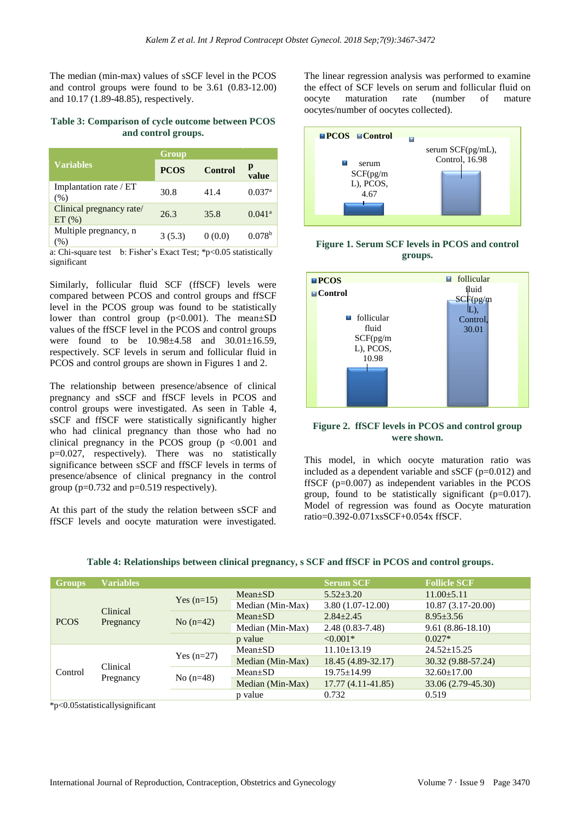The median (min-max) values of sSCF level in the PCOS and control groups were found to be 3.61 (0.83-12.00) and 10.17 (1.89-48.85), respectively.

### **Table 3: Comparison of cycle outcome between PCOS and control groups.**

|                                   | Group       |                |                      |  |  |
|-----------------------------------|-------------|----------------|----------------------|--|--|
| <b>Variables</b>                  | <b>PCOS</b> | <b>Control</b> | р<br>value           |  |  |
| Implantation rate / ET<br>(% )    | 30.8        | 414            | $0.037$ <sup>a</sup> |  |  |
| Clinical pregnancy rate/<br>ET(%) | 26.3        | 35.8           | $0.041^{\rm a}$      |  |  |
| Multiple pregnancy, n<br>%        | 3(5.3)      | 0(0.0)         | $0.078^{\rm b}$      |  |  |

a: Chi-square test b: Fisher's Exact Test; \*p<0.05 statistically significant

Similarly, follicular fluid SCF (ffSCF) levels were compared between PCOS and control groups and ffSCF level in the PCOS group was found to be statistically lower than control group (p<0.001). The mean±SD values of the ffSCF level in the PCOS and control groups were found to be  $10.98\pm4.58$  and  $30.01\pm16.59$ , respectively. SCF levels in serum and follicular fluid in PCOS and control groups are shown in Figures 1 and 2.

The relationship between presence/absence of clinical pregnancy and sSCF and ffSCF levels in PCOS and control groups were investigated. As seen in Table 4, sSCF and ffSCF were statistically significantly higher who had clinical pregnancy than those who had no clinical pregnancy in the PCOS group  $(p \lt 0.001$  and p=0.027, respectively). There was no statistically significance between sSCF and ffSCF levels in terms of presence/absence of clinical pregnancy in the control group ( $p=0.732$  and  $p=0.519$  respectively).

At this part of the study the relation between sSCF and ffSCF levels and oocyte maturation were investigated.

The linear regression analysis was performed to examine the effect of SCF levels on serum and follicular fluid on oocyte maturation rate (number of mature oocytes/number of oocytes collected).



### **Figure 1. Serum SCF levels in PCOS and control groups.**



#### **Figure 2. ffSCF levels in PCOS and control group were shown.**

This model, in which oocyte maturation ratio was included as a dependent variable and sSCF  $(p=0.012)$  and ffSCF (p=0.007) as independent variables in the PCOS group, found to be statistically significant (p=0.017). Model of regression was found as Oocyte maturation ratio=0.392-0.071xsSCF+0.054x ffSCF.

| <b>Groups</b> | <b>Variables</b>      |              |                  | <b>Serum SCF</b>    | <b>Follicle SCF</b> |
|---------------|-----------------------|--------------|------------------|---------------------|---------------------|
|               |                       | Yes $(n=15)$ | $Mean \pm SD$    | $5.52 \pm 3.20$     | $11.00 \pm 5.11$    |
| <b>PCOS</b>   | Clinical<br>Pregnancy |              | Median (Min-Max) | $3.80(1.07-12.00)$  | $10.87(3.17-20.00)$ |
|               |                       | No $(n=42)$  | $Mean \pm SD$    | $2.84 \pm 2.45$     | $8.95 \pm 3.56$     |
|               |                       |              | Median (Min-Max) | $2.48(0.83 - 7.48)$ | $9.61(8.86-18.10)$  |
|               |                       |              | p value          | $< 0.001*$          | $0.027*$            |
| Control       | Clinical<br>Pregnancy | Yes $(n=27)$ | $Mean \pm SD$    | $11.10 \pm 13.19$   | $24.52 \pm 15.25$   |
|               |                       |              | Median (Min-Max) | 18.45 (4.89-32.17)  | 30.32 (9.88-57.24)  |
|               |                       | No $(n=48)$  | $Mean \pm SD$    | $19.75 \pm 14.99$   | $32.60 \pm 17.00$   |
|               |                       |              | Median (Min-Max) | $17.77(4.11-41.85)$ | 33.06 (2.79-45.30)  |
|               |                       |              | p value          | 0.732               | 0.519               |

### **Table 4: Relationships between clinical pregnancy, s SCF and ffSCF in PCOS and control groups.**

\*p<0.05statisticallysignificant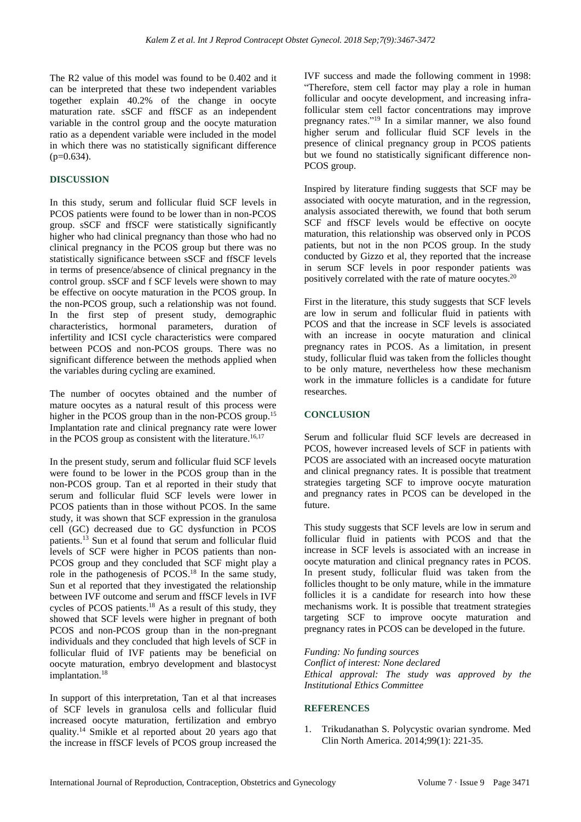The R2 value of this model was found to be 0.402 and it can be interpreted that these two independent variables together explain 40.2% of the change in oocyte maturation rate. sSCF and ffSCF as an independent variable in the control group and the oocyte maturation ratio as a dependent variable were included in the model in which there was no statistically significant difference  $(p=0.634)$ .

#### **DISCUSSION**

In this study, serum and follicular fluid SCF levels in PCOS patients were found to be lower than in non-PCOS group. sSCF and ffSCF were statistically significantly higher who had clinical pregnancy than those who had no clinical pregnancy in the PCOS group but there was no statistically significance between sSCF and ffSCF levels in terms of presence/absence of clinical pregnancy in the control group. sSCF and f SCF levels were shown to may be effective on oocyte maturation in the PCOS group. In the non-PCOS group, such a relationship was not found. In the first step of present study, demographic characteristics, hormonal parameters, duration of infertility and ICSI cycle characteristics were compared between PCOS and non-PCOS groups. There was no significant difference between the methods applied when the variables during cycling are examined.

The number of oocytes obtained and the number of mature oocytes as a natural result of this process were higher in the PCOS group than in the non-PCOS group.<sup>15</sup> Implantation rate and clinical pregnancy rate were lower in the PCOS group as consistent with the literature.<sup>16,17</sup>

In the present study, serum and follicular fluid SCF levels were found to be lower in the PCOS group than in the non-PCOS group. Tan et al reported in their study that serum and follicular fluid SCF levels were lower in PCOS patients than in those without PCOS. In the same study, it was shown that SCF expression in the granulosa cell (GC) decreased due to GC dysfunction in PCOS patients.<sup>13</sup> Sun et al found that serum and follicular fluid levels of SCF were higher in PCOS patients than non-PCOS group and they concluded that SCF might play a role in the pathogenesis of PCOS.<sup>18</sup> In the same study, Sun et al reported that they investigated the relationship between IVF outcome and serum and ffSCF levels in IVF cycles of PCOS patients.<sup>18</sup> As a result of this study, they showed that SCF levels were higher in pregnant of both PCOS and non-PCOS group than in the non-pregnant individuals and they concluded that high levels of SCF in follicular fluid of IVF patients may be beneficial on oocyte maturation, embryo development and blastocyst implantation. 18

In support of this interpretation, Tan et al that increases of SCF levels in granulosa cells and follicular fluid increased oocyte maturation, fertilization and embryo quality.<sup>14</sup> Smikle et al reported about 20 years ago that the increase in ffSCF levels of PCOS group increased the IVF success and made the following comment in 1998: "Therefore, stem cell factor may play a role in human follicular and oocyte development, and increasing infrafollicular stem cell factor concentrations may improve pregnancy rates."<sup>19</sup> In a similar manner, we also found higher serum and follicular fluid SCF levels in the presence of clinical pregnancy group in PCOS patients but we found no statistically significant difference non-PCOS group.

Inspired by literature finding suggests that SCF may be associated with oocyte maturation, and in the regression, analysis associated therewith, we found that both serum SCF and ffSCF levels would be effective on oocyte maturation, this relationship was observed only in PCOS patients, but not in the non PCOS group. In the study conducted by Gizzo et al, they reported that the increase in serum SCF levels in poor responder patients was positively correlated with the rate of mature oocytes.<sup>20</sup>

First in the literature, this study suggests that SCF levels are low in serum and follicular fluid in patients with PCOS and that the increase in SCF levels is associated with an increase in oocyte maturation and clinical pregnancy rates in PCOS. As a limitation, in present study, follicular fluid was taken from the follicles thought to be only mature, nevertheless how these mechanism work in the immature follicles is a candidate for future researches.

#### **CONCLUSION**

Serum and follicular fluid SCF levels are decreased in PCOS, however increased levels of SCF in patients with PCOS are associated with an increased oocyte maturation and clinical pregnancy rates. It is possible that treatment strategies targeting SCF to improve oocyte maturation and pregnancy rates in PCOS can be developed in the future.

This study suggests that SCF levels are low in serum and follicular fluid in patients with PCOS and that the increase in SCF levels is associated with an increase in oocyte maturation and clinical pregnancy rates in PCOS. In present study, follicular fluid was taken from the follicles thought to be only mature, while in the immature follicles it is a candidate for research into how these mechanisms work. It is possible that treatment strategies targeting SCF to improve oocyte maturation and pregnancy rates in PCOS can be developed in the future.

*Funding: No funding sources Conflict of interest: None declared Ethical approval: The study was approved by the Institutional Ethics Committee*

#### **REFERENCES**

1. Trikudanathan S. Polycystic ovarian syndrome. Med Clin North America. 2014;99(1): 221-35.